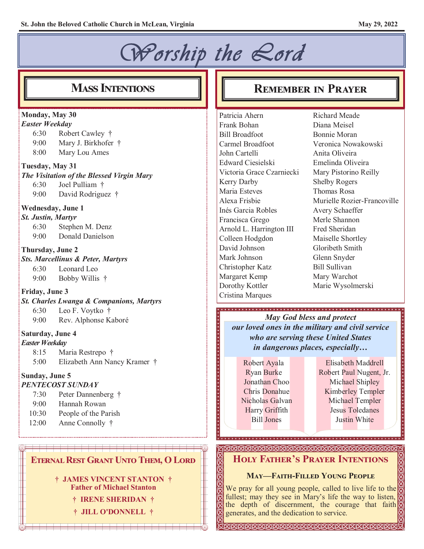#### *Worship the Lord*  **Mass Intentions Remember in Prayer Monday, May 30** Patricia Ahern Richard Meade *Easter Weekday* Frank Bohan Diana Meisel 6:30 Robert Cawley † Bill Broadfoot Bonnie Moran 9:00 Mary J. Birkhofer † Carmel Broadfoot 8:00 Mary Lou Ames John Cartelli Anita Oliveira Edward Ciesielski Emelinda Oliveira **Tuesday, May 31** Victoria Grace Czarniecki Mary Pistorino Reilly *The Visitation of the Blessed Virgin Mary* Kerry Darby Shelby Rogers 6:30 Joel Pulliam † Maria Esteves Thomas Rosa 9:00 David Rodriguez † Alexa Frisbie **Wednesday, June 1** Inés Garcia Robles Avery Schaeffer *St. Justin, Martyr* Merle Shannon Francisca Grego 6:30 Stephen M. Denz Fred Sheridan Arnold L. Harrington III 9:00 Donald Danielson Colleen Hodgdon Maiselle Shortley David Johnson Gloribeth Smith **Thursday, June 2** Mark Johnson Glenn Snyder *Sts. Marcellinus & Peter, Martyrs* Christopher Katz Bill Sullivan 6:30 Leonard Leo Margaret Kemp Mary Warchot 9:00 Bobby Willis † Dorothy Kottler Marie Wysolmerski **Friday, June 3** Cristina Marques *St. Charles Lwanga & Companions, Martyrs* 6:30 Leo F. Voytko † *May God bless and protect* 9:00 Rev. Alphonse Kaboré **Saturday, June 4** *who are serving these United States Easter Weekday in dangerous places, especially…* 8:15 Maria Restrepo † 5:00 Elizabeth Ann Nancy Kramer † Elisabeth Maddrell Robert Ayala Ryan Burke **Sunday, June 5** Jonathan Choo Michael Shipley *PENTECOST SUNDAY* Chris Donahue 7:30 Peter Dannenberg † Nicholas Galvan Michael Templer 9:00 Hannah Rowan

- 10:30 People of the Parish
- 12:00 Anne Connolly †

#### **Eternal Rest Grant Unto Them, O Lord**

**† JAMES VINCENT STANTON † Father of Michael Stanton**

- **† IRENE SHERIDAN †**
- **† JILL O'DONNELL †**

Veronica Nowakowski Murielle Rozier-Francoville

*our loved ones in the military and civil service*

Harry Griffith Bill Jones

Robert Paul Nugent, Jr. Kimberley Templer Jesus Toledanes Justin White

#### **Holy Father's Prayer Intentions**

#### **May—Faith-Filled Young People**

We pray for all young people, called to live life to the fullest; may they see in Mary's life the way to listen, the depth of discernment, the courage that faith generates, and the dedication to service.

KKKKKKKKKKKKKKKKKKKKKKKKK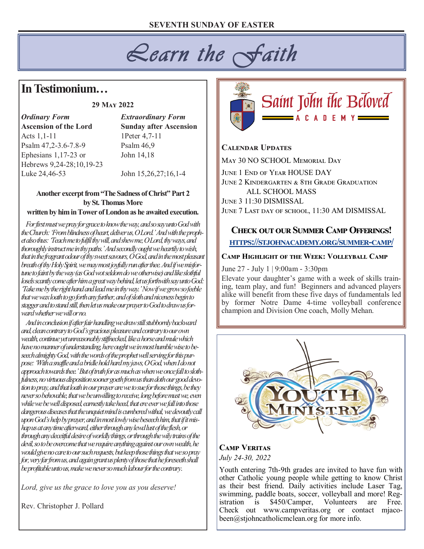# *Learn the Faith*

# **In Testimonium…**

#### **29 May 2022**

*Ordinary Form Extraordinary Form* **Ascension of the Lord Sunday after Ascension** Acts 1, 1-11 1Peter 4, 7-11 Psalm 47, 2-3.6-7.8-9 Psalm 46, 9 Ephesians 1,17-23 or John 14,18 Hebrews 9,24-28;10,19-23 Luke 24,46-53 John 15,26,27;16,1-4

**Another excerpt from "The Sadness of Christ" Part 2 by St. Thomas More**

#### **written by him in Tower of London as he awaited execution.**

 *For first must we pray for grace to know the way, and so say unto God with the Church: 'From blindness of heart, deliver us, O Lord.' And with the prophet also thus: 'Teach me to fulfil thy will, and shew me, O Lord, thy ways, and thoroughly instruct me in thy paths.' And secondly ought we heartily to wish, that in the fragrant odour of thy sweet savours, O God, and in the most pleasant breath of thy Holy Spirit, we may most joyfully run after thee. And if we misfortune to faint by the way (as God wot seldom do we otherwise) and like slothful losels scantly come after him a great way behind, let us forthwith say unto God: 'Take me by the right hand and lead me in thy way.' Now if we grow so feeble that we wax loath to go forth any further, and of sloth and niceness begin to stagger and to stand still, then let us make our prayer to God to draw us forward whether we will or no.*

 *And in conclusion if after fair handling we draw still stubbornly backward and, clean contrary to God's gracious pleasure and contrary to our own wealth, continue yet unreasonably stiffnecked, like a horse and mule which have no manner of understanding, here ought we in most humble wise to beseech almighty God, with the words of the prophet well serving for this purpose: 'With a snaffle and a bridle hold hard my jaws, O God, when I do not approach towards thee.' But of truth for as much as when we once fall to slothfulness, no virtuous disposition sooner goeth from us than doth our good devotion to pray, and that loath in our prayer are we to sue for those things, be they never so behovable, that we be unwilling to receive, long before must we, even while we be well disposed, earnestly take heed, that ere ever we fall into those dangerous diseases that the unquiet mind is cumbered withal, we devoutly call upon God's help by prayer, and in most lowly wise beseech him, that if it mishap us at any time afterward, either through any lewd lust of the flesh, or through any deceitful desire of worldly things, or through the wily trains of the devil, so to be overcome that we require anything against our own wealth, he would give no care to our such requests, but keep those things that we so pray for, very far from us, and again grant us plenty of those that he foreseeth shall be profitable unto us, make we never so much labour for the contrary*.

*Lord, give us the grace to love you as you deserve!*

Rev. Christopher J. Pollard



#### **Calendar Updates**

May 30 NO SCHOOL Memorial Day

JUNE 1 END OF YEAR HOUSE DAY June 2 Kindergarten & 8th Grade Graduation ALL SCHOOL MASS June 3 11:30 DISMISSAL June 7 Last day of school, 11:30 AM DISMISSAL

## **Check out our Summer Camp Offerings! [https://stjohnacademy.org/summer](https://stjohnacademy.org/summer-camp/)-camp/**

#### **Camp Highlight of the Week: Volleyball Camp**

June 27 - July 1 | 9:00am - 3:30pm

Elevate your daughter's game with a week of skills training, team play, and fun! Beginners and advanced players alike will benefit from these five days of fundamentals led by former Notre Dame 4-time volleyball conference champion and Division One coach, Molly Mehan.



#### **Camp Veritas** *July 24-30, 2022*

Youth entering 7th-9th grades are invited to have fun with other Catholic young people while getting to know Christ as their best friend. Daily activities include Laser Tag, swimming, paddle boats, soccer, volleyball and more! Reg-<br>istration is \$450/Camper, Volunteers are Free. istration is \$450/Camper, Volunteers are Free. Check out www.campveritas.org or contact mjacobeen@stjohncatholicmclean.org for more info.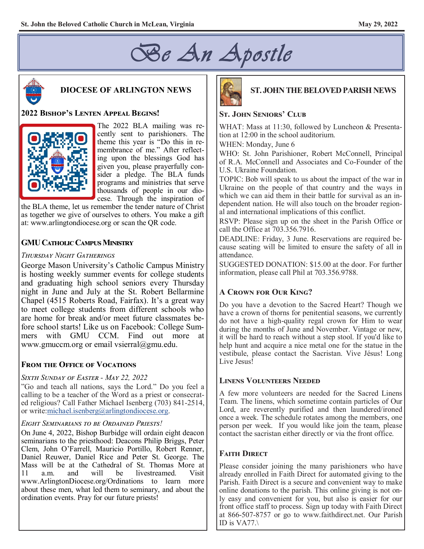



# **DIOCESE OF ARLINGTON NEWS**

#### **2022 Bishop's Lenten Appeal Begins!**



The 2022 BLA mailing was recently sent to parishioners. The theme this year is "Do this in remembrance of me." After reflecting upon the blessings God has given you, please prayerfully consider a pledge. The BLA funds programs and ministries that serve thousands of people in our diocese. Through the inspiration of

the BLA theme, let us remember the tender nature of Christ as together we give of ourselves to others. You make a gift at: www.arlingtondiocese.org or scan the QR code.

#### **GMU Catholic Campus Ministry**

#### *Thursday Night Gatherings*

George Mason University's Catholic Campus Ministry is hosting weekly summer events for college students and graduating high school seniors every Thursday night in June and July at the St. Robert Bellarmine Chapel (4515 Roberts Road, Fairfax). It's a great way to meet college students from different schools who are home for break and/or meet future classmates before school starts! Like us on Facebook: College Summers with GMU CCM. Find out more at www.gmuccm.org or email vsierral@gmu.edu.

#### **From the Office of Vocations**

#### *Sixth Sunday of Easter - May 22, 2022*

"Go and teach all nations, says the Lord." Do you feel a calling to be a teacher of the Word as a priest or consecrated religious? Call Father Michael Isenberg (703) 841-2514, or write:michael.isenberg@arlingtondiocese.org.

#### *Eight Seminarians to be Ordained Priests!*

On June 4, 2022, Bishop Burbidge will ordain eight deacon seminarians to the priesthood: Deacons Philip Briggs, Peter Clem, John O'Farrell, Mauricio Portillo, Robert Renner, Daniel Reuwer, Daniel Rice and Peter St. George. The Mass will be at the Cathedral of St. Thomas More at 11 a.m. and will be livestreamed. Visit 11 a.m. and will be livestreamed. www.ArlingtonDiocese.org/Ordinations to learn more about these men, what led them to seminary, and about the ordination events. Pray for our future priests!



## **ST. JOHN THE BELOVED PARISH NEWS**

#### **St. John Seniors' Club**

WHAT: Mass at 11:30, followed by Luncheon & Presentation at 12:00 in the school auditorium.

WHEN: Monday, June 6

WHO: St. John Parishioner, Robert McConnell, Principal of R.A. McConnell and Associates and Co-Founder of the U.S. Ukraine Foundation.

TOPIC: Bob will speak to us about the impact of the war in Ukraine on the people of that country and the ways in which we can aid them in their battle for survival as an independent nation. He will also touch on the broader regional and international implications of this conflict.

RSVP: Please sign up on the sheet in the Parish Office or call the Office at 703.356.7916.

DEADLINE: Friday, 3 June. Reservations are required because seating will be limited to ensure the safety of all in attendance.

SUGGESTED DONATION: \$15.00 at the door. For further information, please call Phil at 703.356.9788.

#### **A Crown for Our King?**

Do you have a devotion to the Sacred Heart? Though we have a crown of thorns for penitential seasons, we currently do not have a high-quality regal crown for Him to wear during the months of June and November. Vintage or new, it will be hard to reach without a step stool. If you'd like to help hunt and acquire a nice metal one for the statue in the vestibule, please contact the Sacristan. Vive Jésus! Long Live Jesus!

#### **Linens Volunteers Needed**

A few more volunteers are needed for the Sacred Linens Team. The linens, which sometime contain particles of Our Lord, are reverently purified and then laundered/ironed once a week. The schedule rotates among the members, one person per week. If you would like join the team, please contact the sacristan either directly or via the front office.

#### **Faith Direct**

Please consider joining the many parishioners who have already enrolled in Faith Direct for automated giving to the Parish. Faith Direct is a secure and convenient way to make online donations to the parish. This online giving is not only easy and convenient for you, but also is easier for our front office staff to process. Sign up today with Faith Direct at 866-507-8757 or go to www.faithdirect.net. Our Parish ID is VA77.\